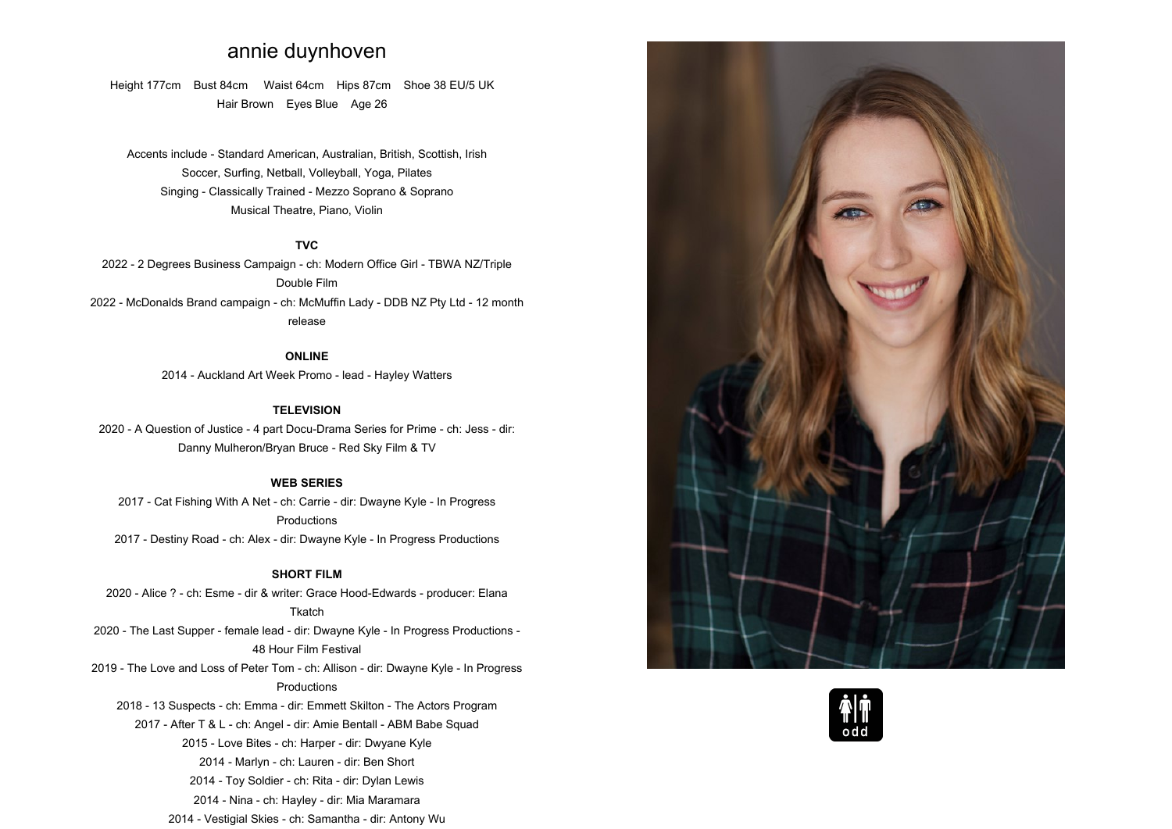# **annie duynhoven**

**Height 177cm Bust 84cm Waist 64cm Hips 87cm Shoe <sup>38</sup> EU/5 UK Hair Brown Eyes Blue Age <sup>26</sup>**

**Accents include - Standard American, Australian, British, Scottish, Irish Soccer, Surfing, Netball, Volleyball, Yoga, PilatesSinging - Classically Trained - Mezzo Soprano & Soprano Musical Theatre, Piano, Violin**

## **TVC**

 **2022 - <sup>2</sup> Degrees Business Campaign - ch: Modern Office Girl - TBWA NZ/Triple Double Film 2022 - McDonalds Brand campaign - ch: McMuffin Lady - DDB NZ Pty Ltd - <sup>12</sup> month release**

> **ONLINE2014 - Auckland Art Week Promo - lead - Hayley Watters**

#### **TELEVISION**

 **2020 - <sup>A</sup> Question of Justice - <sup>4</sup> part Docu-Drama Series for Prime - ch: Jess - dir: Danny Mulheron/Bryan Bruce - Red Sky Film & TV**

# **WEB SERIES**

**2017 - Cat Fishing With <sup>A</sup> Net - ch: Carrie - dir: Dwayne Kyle - In Progress Productions2017 - Destiny Road - ch: Alex - dir: Dwayne Kyle - In Progress Productions**

# **SHORT FILM**

 **2020 - Alice ? - ch: Esme - dir & writer: Grace Hood-Edwards - producer: Elana Tkatch - The Last Supper - female lead - dir: Dwayne Kyle - In Progress Productions - Hour Film Festival - The Love and Loss of Peter Tom - ch: Allison - dir: Dwayne Kyle - In Progress Productions - <sup>13</sup> Suspects - ch: Emma - dir: Emmett Skilton - The Actors Program - After <sup>T</sup> & <sup>L</sup> - ch: Angel - dir: Amie Bentall - ABM Babe Squad - Love Bites - ch: Harper - dir: Dwyane Kyle - Marlyn - ch: Lauren - dir: Ben Short - Toy Soldier - ch: Rita - dir: Dylan Lewis - Nina - ch: Hayley - dir: Mia Maramara - Vestigial Skies - ch: Samantha - dir: Antony Wu**